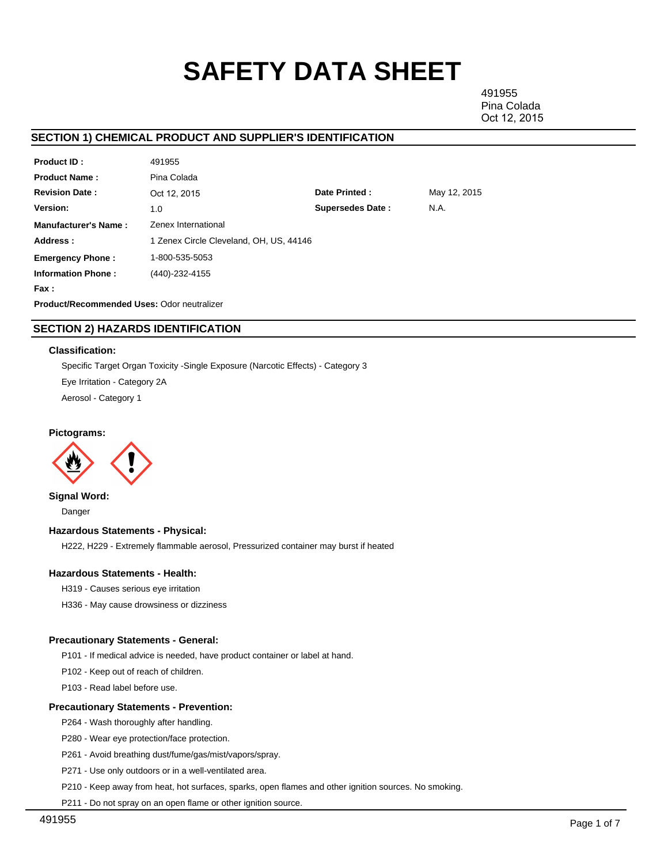# **SAFETY DATA SHEET**

491955 Pina Colada Oct 12, 2015

# **SECTION 1) CHEMICAL PRODUCT AND SUPPLIER'S IDENTIFICATION**

| <b>Product ID:</b>          | 491955                                     |                         |              |  |  |  |
|-----------------------------|--------------------------------------------|-------------------------|--------------|--|--|--|
| <b>Product Name:</b>        | Pina Colada                                |                         |              |  |  |  |
| <b>Revision Date:</b>       | Oct 12, 2015                               | Date Printed:           | May 12, 2015 |  |  |  |
| Version:                    | 1.0                                        | <b>Supersedes Date:</b> | N.A.         |  |  |  |
| <b>Manufacturer's Name:</b> | Zenex International                        |                         |              |  |  |  |
| Address:                    | 1 Zenex Circle Cleveland, OH, US, 44146    |                         |              |  |  |  |
| <b>Emergency Phone:</b>     | 1-800-535-5053                             |                         |              |  |  |  |
| <b>Information Phone:</b>   | (440)-232-4155                             |                         |              |  |  |  |
| Fax :                       |                                            |                         |              |  |  |  |
|                             | Product/Recommended Uses: Odor neutralizer |                         |              |  |  |  |
|                             |                                            |                         |              |  |  |  |

# **SECTION 2) HAZARDS IDENTIFICATION**

## **Classification:**

Specific Target Organ Toxicity -Single Exposure (Narcotic Effects) - Category 3 Eye Irritation - Category 2A Aerosol - Category 1

**Pictograms:**



**Signal Word:** Danger

## **Hazardous Statements - Physical:**

H222, H229 - Extremely flammable aerosol, Pressurized container may burst if heated

## **Hazardous Statements - Health:**

H319 - Causes serious eye irritation

H336 - May cause drowsiness or dizziness

## **Precautionary Statements - General:**

P101 - If medical advice is needed, have product container or label at hand.

P102 - Keep out of reach of children.

P103 - Read label before use.

## **Precautionary Statements - Prevention:**

P264 - Wash thoroughly after handling.

P280 - Wear eye protection/face protection.

P261 - Avoid breathing dust/fume/gas/mist/vapors/spray.

P271 - Use only outdoors or in a well-ventilated area.

P210 - Keep away from heat, hot surfaces, sparks, open flames and other ignition sources. No smoking.

P211 - Do not spray on an open flame or other ignition source.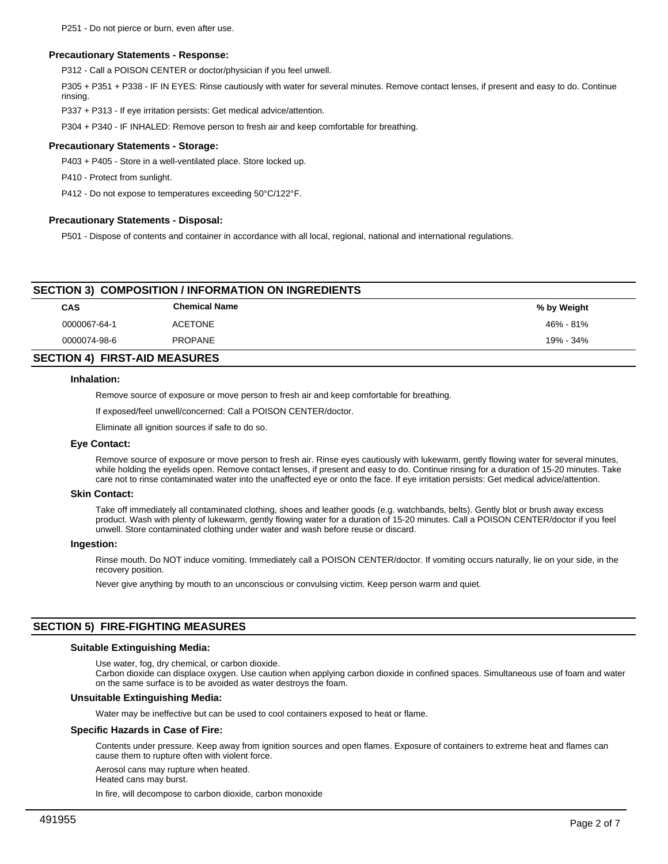## **Precautionary Statements - Response:**

P312 - Call a POISON CENTER or doctor/physician if you feel unwell.

P305 + P351 + P338 - IF IN EYES: Rinse cautiously with water for several minutes. Remove contact lenses, if present and easy to do. Continue rinsing.

P337 + P313 - If eye irritation persists: Get medical advice/attention.

P304 + P340 - IF INHALED: Remove person to fresh air and keep comfortable for breathing.

#### **Precautionary Statements - Storage:**

P403 + P405 - Store in a well-ventilated place. Store locked up.

P410 - Protect from sunlight.

P412 - Do not expose to temperatures exceeding 50°C/122°F.

#### **Precautionary Statements - Disposal:**

P501 - Dispose of contents and container in accordance with all local, regional, national and international regulations.

# **SECTION 3) COMPOSITION / INFORMATION ON INGREDIENTS**

| CAS          | <b>Chemical Name</b> | % by Weight |
|--------------|----------------------|-------------|
| 0000067-64-1 | <b>ACETONE</b>       | 46% - 81%   |
| 0000074-98-6 | <b>PROPANE</b>       | 19% - 34%   |
|              |                      |             |

# **SECTION 4) FIRST-AID MEASURES**

#### **Inhalation:**

Remove source of exposure or move person to fresh air and keep comfortable for breathing.

If exposed/feel unwell/concerned: Call a POISON CENTER/doctor.

Eliminate all ignition sources if safe to do so.

## **Eye Contact:**

Remove source of exposure or move person to fresh air. Rinse eyes cautiously with lukewarm, gently flowing water for several minutes, while holding the eyelids open. Remove contact lenses, if present and easy to do. Continue rinsing for a duration of 15-20 minutes. Take care not to rinse contaminated water into the unaffected eye or onto the face. If eye irritation persists: Get medical advice/attention.

#### **Skin Contact:**

Take off immediately all contaminated clothing, shoes and leather goods (e.g. watchbands, belts). Gently blot or brush away excess product. Wash with plenty of lukewarm, gently flowing water for a duration of 15-20 minutes. Call a POISON CENTER/doctor if you feel unwell. Store contaminated clothing under water and wash before reuse or discard.

#### **Ingestion:**

Rinse mouth. Do NOT induce vomiting. Immediately call a POISON CENTER/doctor. If vomiting occurs naturally, lie on your side, in the recovery position.

Never give anything by mouth to an unconscious or convulsing victim. Keep person warm and quiet.

## **SECTION 5) FIRE-FIGHTING MEASURES**

#### **Suitable Extinguishing Media:**

Use water, fog, dry chemical, or carbon dioxide.

Carbon dioxide can displace oxygen. Use caution when applying carbon dioxide in confined spaces. Simultaneous use of foam and water on the same surface is to be avoided as water destroys the foam.

## **Unsuitable Extinguishing Media:**

Water may be ineffective but can be used to cool containers exposed to heat or flame.

#### **Specific Hazards in Case of Fire:**

Contents under pressure. Keep away from ignition sources and open flames. Exposure of containers to extreme heat and flames can cause them to rupture often with violent force.

Aerosol cans may rupture when heated.

Heated cans may burst.

In fire, will decompose to carbon dioxide, carbon monoxide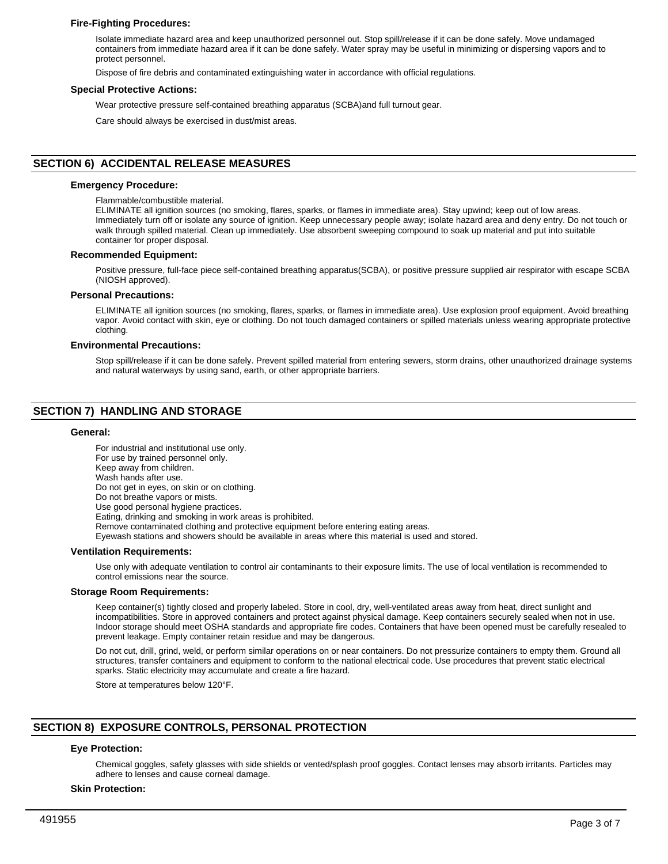## **Fire-Fighting Procedures:**

Isolate immediate hazard area and keep unauthorized personnel out. Stop spill/release if it can be done safely. Move undamaged containers from immediate hazard area if it can be done safely. Water spray may be useful in minimizing or dispersing vapors and to protect personnel.

Dispose of fire debris and contaminated extinguishing water in accordance with official regulations.

#### **Special Protective Actions:**

Wear protective pressure self-contained breathing apparatus (SCBA)and full turnout gear.

Care should always be exercised in dust/mist areas.

## **SECTION 6) ACCIDENTAL RELEASE MEASURES**

#### **Emergency Procedure:**

Flammable/combustible material.

ELIMINATE all ignition sources (no smoking, flares, sparks, or flames in immediate area). Stay upwind; keep out of low areas. Immediately turn off or isolate any source of ignition. Keep unnecessary people away; isolate hazard area and deny entry. Do not touch or walk through spilled material. Clean up immediately. Use absorbent sweeping compound to soak up material and put into suitable container for proper disposal.

#### **Recommended Equipment:**

Positive pressure, full-face piece self-contained breathing apparatus(SCBA), or positive pressure supplied air respirator with escape SCBA (NIOSH approved).

#### **Personal Precautions:**

ELIMINATE all ignition sources (no smoking, flares, sparks, or flames in immediate area). Use explosion proof equipment. Avoid breathing vapor. Avoid contact with skin, eye or clothing. Do not touch damaged containers or spilled materials unless wearing appropriate protective clothing.

#### **Environmental Precautions:**

Stop spill/release if it can be done safely. Prevent spilled material from entering sewers, storm drains, other unauthorized drainage systems and natural waterways by using sand, earth, or other appropriate barriers.

# **SECTION 7) HANDLING AND STORAGE**

#### **General:**

For industrial and institutional use only. For use by trained personnel only. Keep away from children. Wash hands after use. Do not get in eyes, on skin or on clothing. Do not breathe vapors or mists. Use good personal hygiene practices. Eating, drinking and smoking in work areas is prohibited. Remove contaminated clothing and protective equipment before entering eating areas. Eyewash stations and showers should be available in areas where this material is used and stored. **Ventilation Requirements:**

Use only with adequate ventilation to control air contaminants to their exposure limits. The use of local ventilation is recommended to control emissions near the source.

#### **Storage Room Requirements:**

Keep container(s) tightly closed and properly labeled. Store in cool, dry, well-ventilated areas away from heat, direct sunlight and incompatibilities. Store in approved containers and protect against physical damage. Keep containers securely sealed when not in use. Indoor storage should meet OSHA standards and appropriate fire codes. Containers that have been opened must be carefully resealed to prevent leakage. Empty container retain residue and may be dangerous.

Do not cut, drill, grind, weld, or perform similar operations on or near containers. Do not pressurize containers to empty them. Ground all structures, transfer containers and equipment to conform to the national electrical code. Use procedures that prevent static electrical sparks. Static electricity may accumulate and create a fire hazard.

Store at temperatures below 120°F.

# **SECTION 8) EXPOSURE CONTROLS, PERSONAL PROTECTION**

## **Eye Protection:**

Chemical goggles, safety glasses with side shields or vented/splash proof goggles. Contact lenses may absorb irritants. Particles may adhere to lenses and cause corneal damage.

#### **Skin Protection:**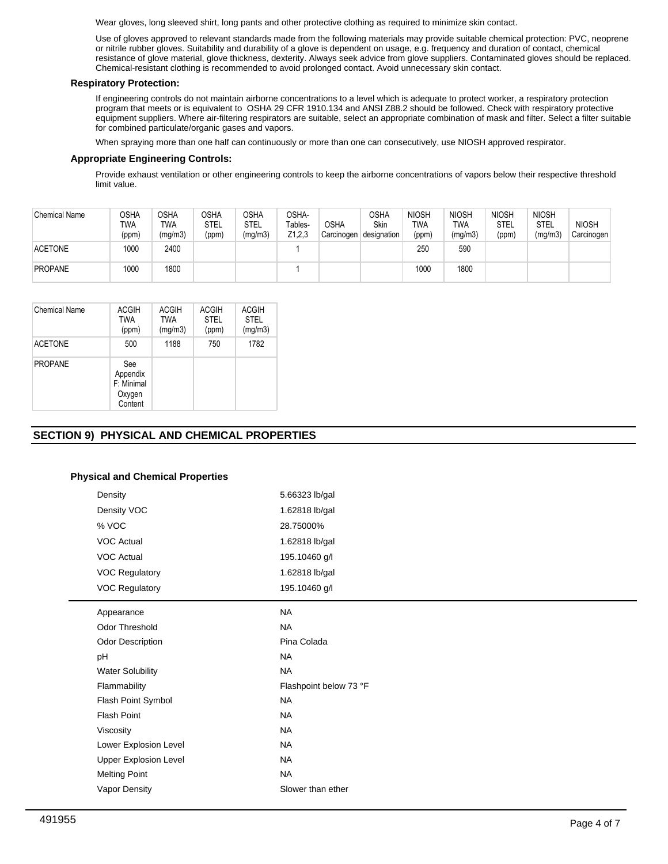Wear gloves, long sleeved shirt, long pants and other protective clothing as required to minimize skin contact.

Use of gloves approved to relevant standards made from the following materials may provide suitable chemical protection: PVC, neoprene or nitrile rubber gloves. Suitability and durability of a glove is dependent on usage, e.g. frequency and duration of contact, chemical resistance of glove material, glove thickness, dexterity. Always seek advice from glove suppliers. Contaminated gloves should be replaced. Chemical-resistant clothing is recommended to avoid prolonged contact. Avoid unnecessary skin contact.

## **Respiratory Protection:**

If engineering controls do not maintain airborne concentrations to a level which is adequate to protect worker, a respiratory protection program that meets or is equivalent to OSHA 29 CFR 1910.134 and ANSI Z88.2 should be followed. Check with respiratory protective equipment suppliers. Where air-filtering respirators are suitable, select an appropriate combination of mask and filter. Select a filter suitable for combined particulate/organic gases and vapors.

When spraying more than one half can continuously or more than one can consecutively, use NIOSH approved respirator.

## **Appropriate Engineering Controls:**

Provide exhaust ventilation or other engineering controls to keep the airborne concentrations of vapors below their respective threshold limit value.

| <b>Chemical Name</b> | OSHA<br>TWA<br>(ppm) | OSHA<br>TWA<br>(mg/m3) | <b>OSHA</b><br><b>STEL</b><br>(ppm) | OSHA<br>STEL<br>(mg/m3) | OSHA-<br>Tables-<br>Z1,2,3 | <b>OSHA</b><br>Carcinogen | OSHA<br>Skin<br>designation | <b>NIOSH</b><br>TWA<br>(ppm) | <b>NIOSH</b><br>TWA<br>(mg/m3) | <b>NIOSH</b><br>STEL<br>(ppm) | <b>NIOSH</b><br><b>STEL</b><br>(mg/m3) | <b>NIOSH</b><br>Carcinogen |
|----------------------|----------------------|------------------------|-------------------------------------|-------------------------|----------------------------|---------------------------|-----------------------------|------------------------------|--------------------------------|-------------------------------|----------------------------------------|----------------------------|
| <b>ACETONE</b>       | 1000                 | 2400                   |                                     |                         |                            |                           |                             | 250                          | 590                            |                               |                                        |                            |
| <b>PROPANE</b>       | 1000                 | 1800                   |                                     |                         |                            |                           |                             | 1000                         | 1800                           |                               |                                        |                            |

| Chemical Name  | ACGIH<br>TWA<br>(ppm)                              | <b>ACGIH</b><br><b>TWA</b><br>(mg/m3) | <b>ACGIH</b><br><b>STEL</b><br>(ppm) | <b>ACGIH</b><br><b>STEL</b><br>(mg/m3) |
|----------------|----------------------------------------------------|---------------------------------------|--------------------------------------|----------------------------------------|
| <b>ACETONE</b> | 500                                                | 1188                                  | 750                                  | 1782                                   |
| <b>PROPANE</b> | See<br>Appendix<br>F: Minimal<br>Oxygen<br>Content |                                       |                                      |                                        |

# **SECTION 9) PHYSICAL AND CHEMICAL PROPERTIES**

## **Physical and Chemical Properties**

| Density                      | 5.66323 lb/gal         |
|------------------------------|------------------------|
| Density VOC                  | 1.62818 lb/gal         |
| % VOC                        | 28.75000%              |
| <b>VOC Actual</b>            | 1.62818 lb/gal         |
| <b>VOC Actual</b>            | 195.10460 g/l          |
| <b>VOC Regulatory</b>        | 1.62818 lb/gal         |
| <b>VOC Regulatory</b>        | 195.10460 g/l          |
| Appearance                   | <b>NA</b>              |
| <b>Odor Threshold</b>        | <b>NA</b>              |
| <b>Odor Description</b>      | Pina Colada            |
| pH                           | <b>NA</b>              |
| <b>Water Solubility</b>      | <b>NA</b>              |
| Flammability                 | Flashpoint below 73 °F |
| Flash Point Symbol           | <b>NA</b>              |
| <b>Flash Point</b>           | <b>NA</b>              |
| Viscosity                    | <b>NA</b>              |
| Lower Explosion Level        | <b>NA</b>              |
| <b>Upper Explosion Level</b> | <b>NA</b>              |
| <b>Melting Point</b>         | <b>NA</b>              |
| Vapor Density                | Slower than ether      |
|                              |                        |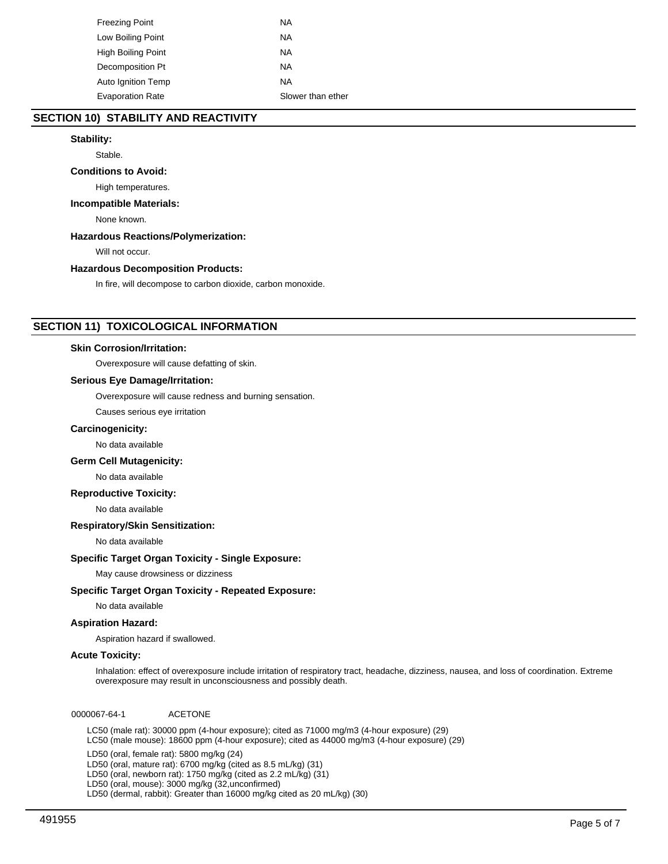| Freezing Point          | ΝA                |
|-------------------------|-------------------|
| Low Boiling Point       | ΝA                |
| High Boiling Point      | NA                |
| Decomposition Pt        | ΝA                |
| Auto Ignition Temp      | ΝA                |
| <b>Evaporation Rate</b> | Slower than ether |

# **SECTION 10) STABILITY AND REACTIVITY**

## **Stability:**

Stable.

## **Conditions to Avoid:**

High temperatures.

## **Incompatible Materials:**

None known.

## **Hazardous Reactions/Polymerization:**

Will not occur.

## **Hazardous Decomposition Products:**

In fire, will decompose to carbon dioxide, carbon monoxide.

## **SECTION 11) TOXICOLOGICAL INFORMATION**

## **Skin Corrosion/Irritation:**

Overexposure will cause defatting of skin.

## **Serious Eye Damage/Irritation:**

Overexposure will cause redness and burning sensation.

Causes serious eye irritation

#### **Carcinogenicity:**

No data available

## **Germ Cell Mutagenicity:**

No data available

## **Reproductive Toxicity:**

No data available

#### **Respiratory/Skin Sensitization:**

No data available

## **Specific Target Organ Toxicity - Single Exposure:**

May cause drowsiness or dizziness

## **Specific Target Organ Toxicity - Repeated Exposure:**

No data available

## **Aspiration Hazard:**

Aspiration hazard if swallowed.

#### **Acute Toxicity:**

Inhalation: effect of overexposure include irritation of respiratory tract, headache, dizziness, nausea, and loss of coordination. Extreme overexposure may result in unconsciousness and possibly death.

0000067-64-1 ACETONE

LC50 (male rat): 30000 ppm (4-hour exposure); cited as 71000 mg/m3 (4-hour exposure) (29) LC50 (male mouse): 18600 ppm (4-hour exposure); cited as 44000 mg/m3 (4-hour exposure) (29)

LD50 (oral, female rat): 5800 mg/kg (24)

LD50 (oral, mature rat): 6700 mg/kg (cited as 8.5 mL/kg) (31)

LD50 (oral, newborn rat): 1750 mg/kg (cited as 2.2 mL/kg) (31)

LD50 (oral, mouse): 3000 mg/kg (32,unconfirmed)

LD50 (dermal, rabbit): Greater than 16000 mg/kg cited as 20 mL/kg) (30)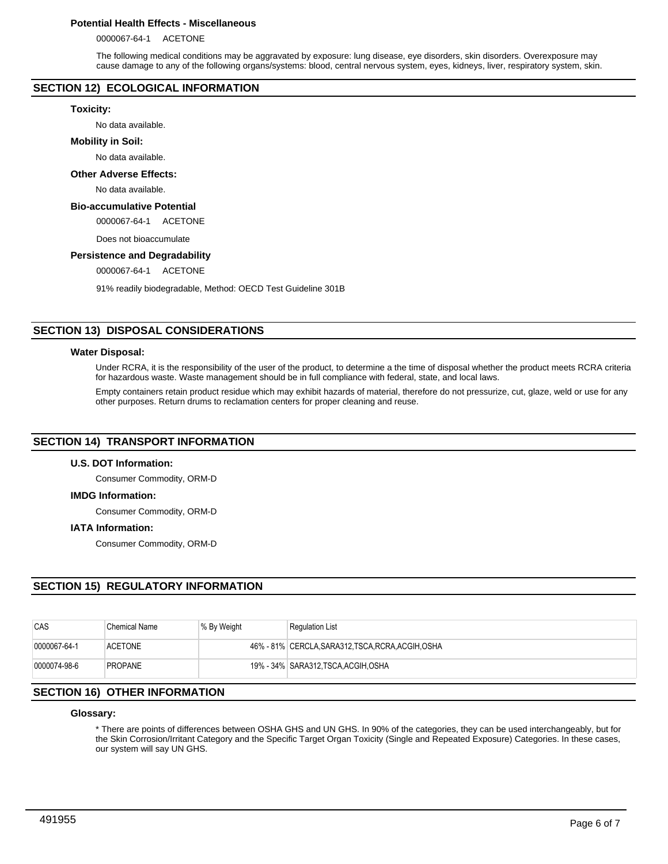## **Potential Health Effects - Miscellaneous**

0000067-64-1 ACETONE

The following medical conditions may be aggravated by exposure: lung disease, eye disorders, skin disorders. Overexposure may cause damage to any of the following organs/systems: blood, central nervous system, eyes, kidneys, liver, respiratory system, skin.

## **SECTION 12) ECOLOGICAL INFORMATION**

## **Toxicity:**

No data available.

## **Mobility in Soil:**

No data available.

## **Other Adverse Effects:**

No data available.

## **Bio-accumulative Potential**

0000067-64-1 ACETONE

Does not bioaccumulate

## **Persistence and Degradability**

0000067-64-1 ACETONE

91% readily biodegradable, Method: OECD Test Guideline 301B

# **SECTION 13) DISPOSAL CONSIDERATIONS**

#### **Water Disposal:**

Under RCRA, it is the responsibility of the user of the product, to determine a the time of disposal whether the product meets RCRA criteria for hazardous waste. Waste management should be in full compliance with federal, state, and local laws.

Empty containers retain product residue which may exhibit hazards of material, therefore do not pressurize, cut, glaze, weld or use for any other purposes. Return drums to reclamation centers for proper cleaning and reuse.

## **SECTION 14) TRANSPORT INFORMATION**

## **U.S. DOT Information:**

Consumer Commodity, ORM-D

## **IMDG Information:**

Consumer Commodity, ORM-D

## **IATA Information:**

Consumer Commodity, ORM-D

## **SECTION 15) REGULATORY INFORMATION**

| CAS          | Chemical Name  | % By Weight | <b>Regulation List</b>                             |
|--------------|----------------|-------------|----------------------------------------------------|
| 0000067-64-1 | <b>ACETONE</b> |             | 46% - 81% CERCLA, SARA312, TSCA, RCRA, ACGIH, OSHA |
| 0000074-98-6 | <b>PROPANE</b> |             | 19% - 34% SARA312, TSCA, ACGIH, OSHA               |

## **SECTION 16) OTHER INFORMATION**

## **Glossary:**

\* There are points of differences between OSHA GHS and UN GHS. In 90% of the categories, they can be used interchangeably, but for the Skin Corrosion/Irritant Category and the Specific Target Organ Toxicity (Single and Repeated Exposure) Categories. In these cases, our system will say UN GHS.